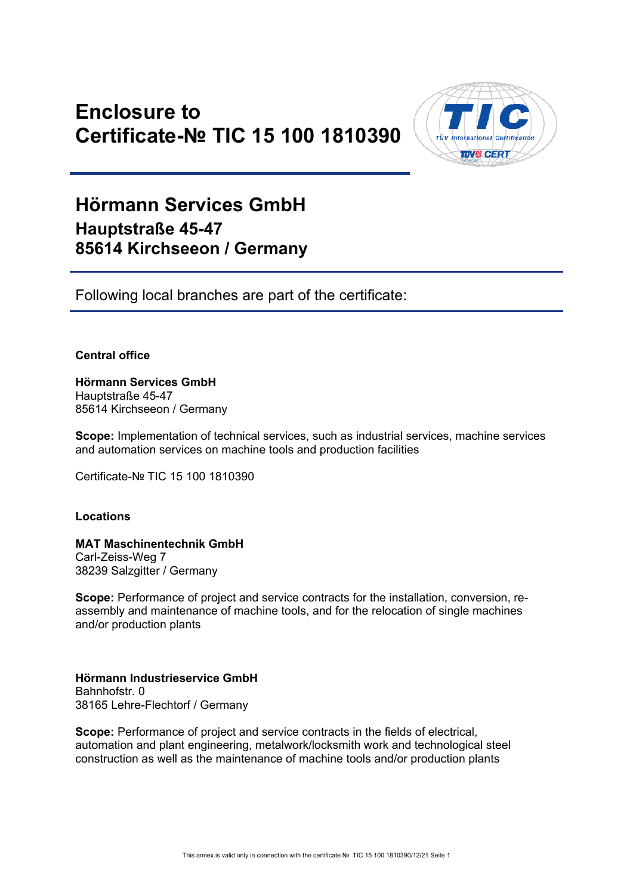# **Enclosure to Certificate-№ TIC 15 100 1810390**



## **Hörmann Services GmbH Hauptstraße 45-47 85614 Kirchseeon / Germany**

Following local branches are part of the certificate:

## **Central office**

**Hörmann Services GmbH**  Hauptstraße 45-47 85614 Kirchseeon / Germany

**Scope:** Implementation of technical services, such as industrial services, machine services and automation services on machine tools and production facilities

Certificate-№ TIC 15 100 1810390

### **Locations**

## **MAT Maschinentechnik GmbH**

Carl-Zeiss-Weg 7 38239 Salzgitter / Germany

**Scope:** Performance of project and service contracts for the installation, conversion, reassembly and maintenance of machine tools, and for the relocation of single machines and/or production plants

## **Hörmann Industrieservice GmbH**  Bahnhofstr. 0 38165 Lehre-Flechtorf / Germany

**Scope:** Performance of project and service contracts in the fields of electrical, automation and plant engineering, metalwork/locksmith work and technological steel construction as well as the maintenance of machine tools and/or production plants